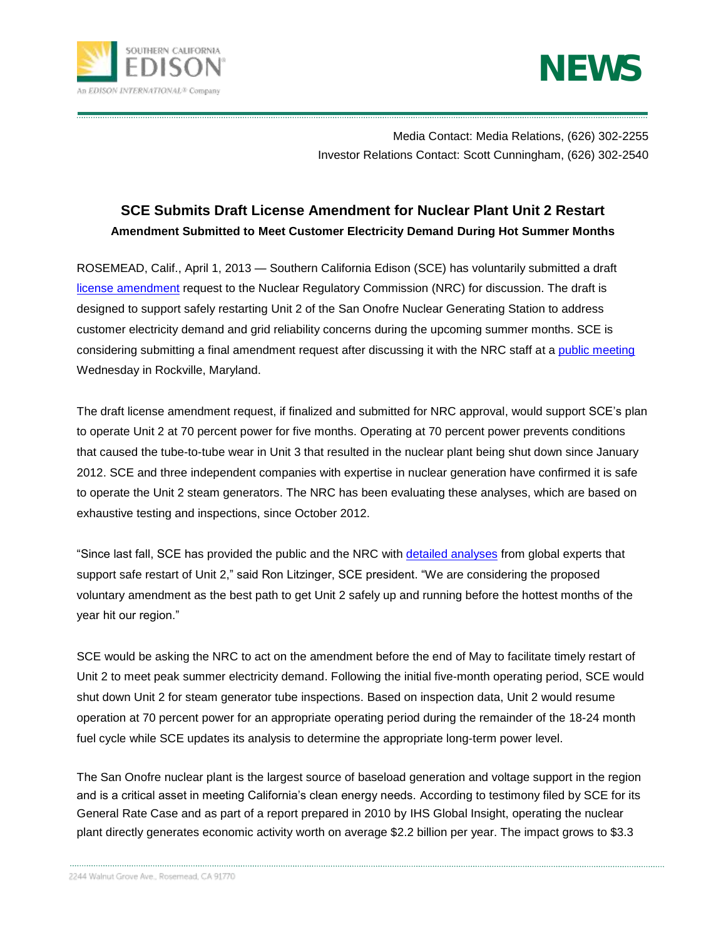



[Media](https://www.edison.com/pressroom/default.aspm) Contact: Media Relations, (626) 302-2255 Investor Relations Contact: Scott Cunningham, (626) 302-2540

## **SCE Submits Draft License Amendment for Nuclear Plant Unit 2 Restart Amendment Submitted to Meet Customer Electricity Demand During Hot Summer Months**

ROSEMEAD, Calif., April 1, 2013 — Southern California Edison (SCE) has voluntarily submitted a draft [license amendment](http://www.songscommunity.com/docs/DraftLicenseAmendmentForSanOnofreUnit2Restart.pdf) request to the Nuclear Regulatory Commission (NRC) for discussion. The draft is designed to support safely restarting Unit 2 of the San Onofre Nuclear Generating Station to address customer electricity demand and grid reliability concerns during the upcoming summer months. SCE is considering submitting a final amendment request after discussing it with the NRC staff at a [public meeting](http://pbadupws.nrc.gov/docs/ML1308/ML13084A153.pdf) Wednesday in Rockville, Maryland.

The draft license amendment request, if finalized and submitted for NRC approval, would support SCE's plan to operate Unit 2 at 70 percent power for five months. Operating at 70 percent power prevents conditions that caused the tube-to-tube wear in Unit 3 that resulted in the nuclear plant being shut down since January 2012. SCE and three independent companies with expertise in nuclear generation have confirmed it is safe to operate the Unit 2 steam generators. The NRC has been evaluating these analyses, which are based on exhaustive testing and inspections, since October 2012.

"Since last fall, SCE has provided the public and the NRC with [detailed analyses](http://www.songscommunity.com/) from global experts that support safe restart of Unit 2," said Ron Litzinger, SCE president. "We are considering the proposed voluntary amendment as the best path to get Unit 2 safely up and running before the hottest months of the year hit our region."

SCE would be asking the NRC to act on the amendment before the end of May to facilitate timely restart of Unit 2 to meet peak summer electricity demand. Following the initial five-month operating period, SCE would shut down Unit 2 for steam generator tube inspections. Based on inspection data, Unit 2 would resume operation at 70 percent power for an appropriate operating period during the remainder of the 18-24 month fuel cycle while SCE updates its analysis to determine the appropriate long-term power level.

The San Onofre nuclear plant is the largest source of baseload generation and voltage support in the region and is a critical asset in meeting California's clean energy needs. According to testimony filed by SCE for its General Rate Case and as part of a report prepared in 2010 by IHS Global Insight, operating the nuclear plant directly generates economic activity worth on average \$2.2 billion per year. The impact grows to \$3.3